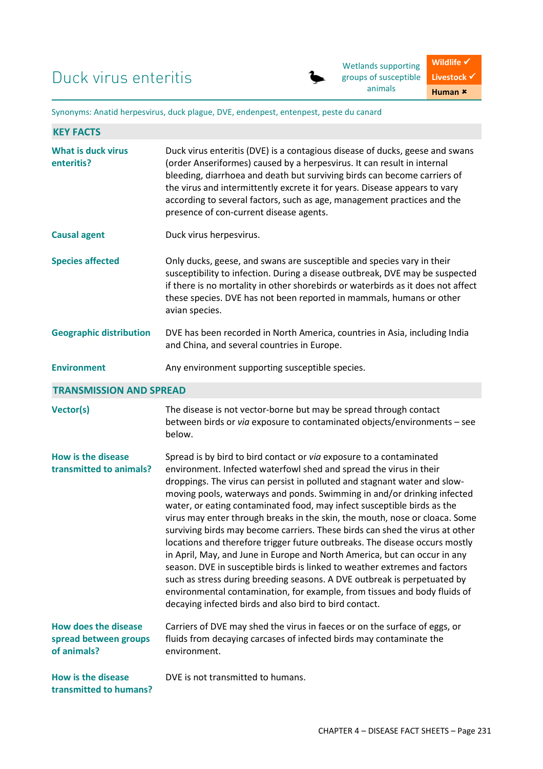Wetlands supporting groups of susceptible animals

Synonyms: Anatid herpesvirus, duck plague, DVE, endenpest, entenpest, peste du canard

| <b>KEY FACTS</b>                                                    |                                                                                                                                                                                                                                                                                                                                                                                                                                                                                                                                                                                                                                                                                                                                                                                                                                                                                                                                                                                                          |  |
|---------------------------------------------------------------------|----------------------------------------------------------------------------------------------------------------------------------------------------------------------------------------------------------------------------------------------------------------------------------------------------------------------------------------------------------------------------------------------------------------------------------------------------------------------------------------------------------------------------------------------------------------------------------------------------------------------------------------------------------------------------------------------------------------------------------------------------------------------------------------------------------------------------------------------------------------------------------------------------------------------------------------------------------------------------------------------------------|--|
| <b>What is duck virus</b><br>enteritis?                             | Duck virus enteritis (DVE) is a contagious disease of ducks, geese and swans<br>(order Anseriformes) caused by a herpesvirus. It can result in internal<br>bleeding, diarrhoea and death but surviving birds can become carriers of<br>the virus and intermittently excrete it for years. Disease appears to vary<br>according to several factors, such as age, management practices and the<br>presence of con-current disease agents.                                                                                                                                                                                                                                                                                                                                                                                                                                                                                                                                                                  |  |
| <b>Causal agent</b>                                                 | Duck virus herpesvirus.                                                                                                                                                                                                                                                                                                                                                                                                                                                                                                                                                                                                                                                                                                                                                                                                                                                                                                                                                                                  |  |
| <b>Species affected</b>                                             | Only ducks, geese, and swans are susceptible and species vary in their<br>susceptibility to infection. During a disease outbreak, DVE may be suspected<br>if there is no mortality in other shorebirds or waterbirds as it does not affect<br>these species. DVE has not been reported in mammals, humans or other<br>avian species.                                                                                                                                                                                                                                                                                                                                                                                                                                                                                                                                                                                                                                                                     |  |
| <b>Geographic distribution</b>                                      | DVE has been recorded in North America, countries in Asia, including India<br>and China, and several countries in Europe.                                                                                                                                                                                                                                                                                                                                                                                                                                                                                                                                                                                                                                                                                                                                                                                                                                                                                |  |
| <b>Environment</b>                                                  | Any environment supporting susceptible species.                                                                                                                                                                                                                                                                                                                                                                                                                                                                                                                                                                                                                                                                                                                                                                                                                                                                                                                                                          |  |
| <b>TRANSMISSION AND SPREAD</b>                                      |                                                                                                                                                                                                                                                                                                                                                                                                                                                                                                                                                                                                                                                                                                                                                                                                                                                                                                                                                                                                          |  |
| <b>Vector(s)</b>                                                    | The disease is not vector-borne but may be spread through contact<br>between birds or via exposure to contaminated objects/environments - see<br>below.                                                                                                                                                                                                                                                                                                                                                                                                                                                                                                                                                                                                                                                                                                                                                                                                                                                  |  |
| <b>How is the disease</b><br>transmitted to animals?                | Spread is by bird to bird contact or via exposure to a contaminated<br>environment. Infected waterfowl shed and spread the virus in their<br>droppings. The virus can persist in polluted and stagnant water and slow-<br>moving pools, waterways and ponds. Swimming in and/or drinking infected<br>water, or eating contaminated food, may infect susceptible birds as the<br>virus may enter through breaks in the skin, the mouth, nose or cloaca. Some<br>surviving birds may become carriers. These birds can shed the virus at other<br>locations and therefore trigger future outbreaks. The disease occurs mostly<br>in April, May, and June in Europe and North America, but can occur in any<br>season. DVE in susceptible birds is linked to weather extremes and factors<br>such as stress during breeding seasons. A DVE outbreak is perpetuated by<br>environmental contamination, for example, from tissues and body fluids of<br>decaying infected birds and also bird to bird contact. |  |
| <b>How does the disease</b><br>spread between groups<br>of animals? | Carriers of DVE may shed the virus in faeces or on the surface of eggs, or<br>fluids from decaying carcases of infected birds may contaminate the<br>environment.                                                                                                                                                                                                                                                                                                                                                                                                                                                                                                                                                                                                                                                                                                                                                                                                                                        |  |
| <b>How is the disease</b><br>transmitted to humans?                 | DVE is not transmitted to humans.                                                                                                                                                                                                                                                                                                                                                                                                                                                                                                                                                                                                                                                                                                                                                                                                                                                                                                                                                                        |  |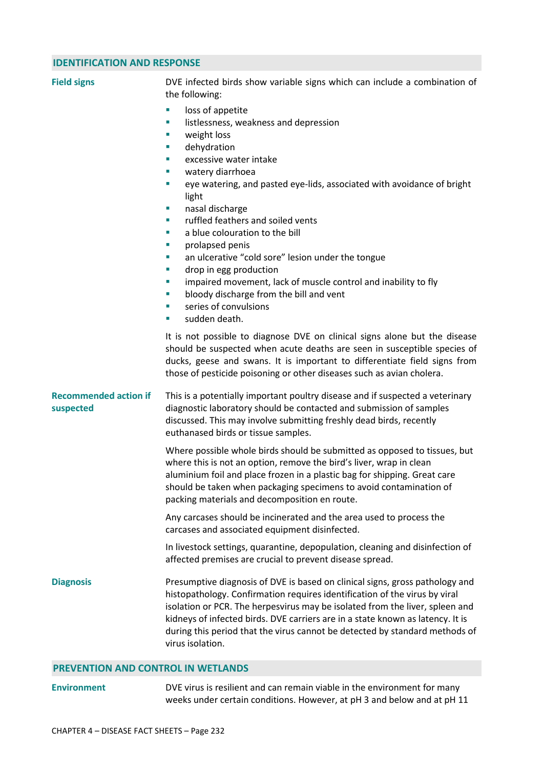## **IDENTIFICATION AND RESPONSE**

| <b>Field signs</b>                        | DVE infected birds show variable signs which can include a combination of<br>the following:                                                                                                                                                                                                                                                                                                                                                                                                                                                                                                                                                                                                |
|-------------------------------------------|--------------------------------------------------------------------------------------------------------------------------------------------------------------------------------------------------------------------------------------------------------------------------------------------------------------------------------------------------------------------------------------------------------------------------------------------------------------------------------------------------------------------------------------------------------------------------------------------------------------------------------------------------------------------------------------------|
|                                           | loss of appetite<br>ш<br>listlessness, weakness and depression<br>ш<br>weight loss<br>×<br>dehydration<br>ш<br>excessive water intake<br>×<br>watery diarrhoea<br>ш<br>eye watering, and pasted eye-lids, associated with avoidance of bright<br>×<br>light<br>nasal discharge<br>ш<br>ruffled feathers and soiled vents<br>ш<br>a blue colouration to the bill<br>×<br>prolapsed penis<br>ш<br>an ulcerative "cold sore" lesion under the tongue<br>×<br>drop in egg production<br>ш<br>impaired movement, lack of muscle control and inability to fly<br>×<br>bloody discharge from the bill and vent<br>×<br>series of convulsions<br>$\mathcal{L}_{\mathcal{A}}$<br>sudden death.<br>ш |
|                                           | It is not possible to diagnose DVE on clinical signs alone but the disease<br>should be suspected when acute deaths are seen in susceptible species of<br>ducks, geese and swans. It is important to differentiate field signs from<br>those of pesticide poisoning or other diseases such as avian cholera.                                                                                                                                                                                                                                                                                                                                                                               |
| <b>Recommended action if</b><br>suspected | This is a potentially important poultry disease and if suspected a veterinary<br>diagnostic laboratory should be contacted and submission of samples<br>discussed. This may involve submitting freshly dead birds, recently<br>euthanased birds or tissue samples.                                                                                                                                                                                                                                                                                                                                                                                                                         |
|                                           | Where possible whole birds should be submitted as opposed to tissues, but<br>where this is not an option, remove the bird's liver, wrap in clean<br>aluminium foil and place frozen in a plastic bag for shipping. Great care<br>should be taken when packaging specimens to avoid contamination of<br>packing materials and decomposition en route.                                                                                                                                                                                                                                                                                                                                       |
|                                           | Any carcases should be incinerated and the area used to process the<br>carcases and associated equipment disinfected.                                                                                                                                                                                                                                                                                                                                                                                                                                                                                                                                                                      |
|                                           | In livestock settings, quarantine, depopulation, cleaning and disinfection of<br>affected premises are crucial to prevent disease spread.                                                                                                                                                                                                                                                                                                                                                                                                                                                                                                                                                  |
| <b>Diagnosis</b>                          | Presumptive diagnosis of DVE is based on clinical signs, gross pathology and<br>histopathology. Confirmation requires identification of the virus by viral<br>isolation or PCR. The herpesvirus may be isolated from the liver, spleen and<br>kidneys of infected birds. DVE carriers are in a state known as latency. It is<br>during this period that the virus cannot be detected by standard methods of<br>virus isolation.                                                                                                                                                                                                                                                            |
|                                           |                                                                                                                                                                                                                                                                                                                                                                                                                                                                                                                                                                                                                                                                                            |

## **PREVENTION AND CONTROL IN WETLANDS**

## **Environment** DVE virus is resilient and can remain viable in the environment for many weeks under certain conditions. However, at pH 3 and below and at pH 11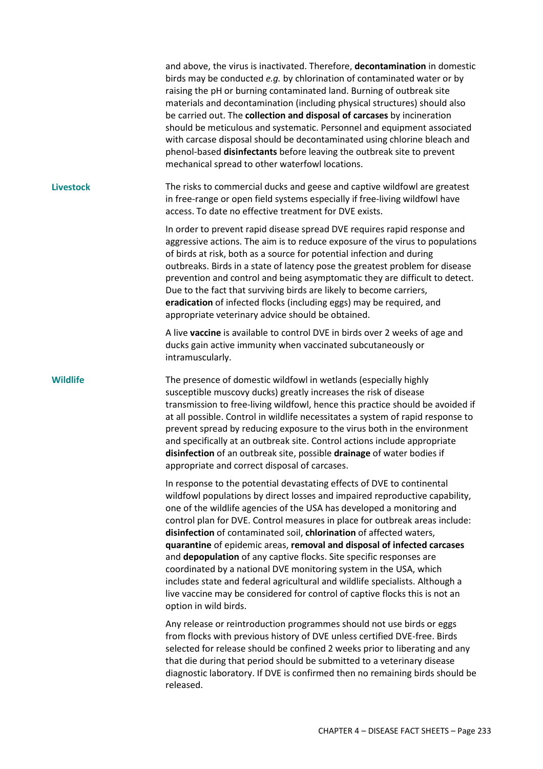|                  | and above, the virus is inactivated. Therefore, decontamination in domestic<br>birds may be conducted e.g. by chlorination of contaminated water or by<br>raising the pH or burning contaminated land. Burning of outbreak site<br>materials and decontamination (including physical structures) should also<br>be carried out. The collection and disposal of carcases by incineration<br>should be meticulous and systematic. Personnel and equipment associated<br>with carcase disposal should be decontaminated using chlorine bleach and<br>phenol-based disinfectants before leaving the outbreak site to prevent<br>mechanical spread to other waterfowl locations.                                                                                                                          |
|------------------|------------------------------------------------------------------------------------------------------------------------------------------------------------------------------------------------------------------------------------------------------------------------------------------------------------------------------------------------------------------------------------------------------------------------------------------------------------------------------------------------------------------------------------------------------------------------------------------------------------------------------------------------------------------------------------------------------------------------------------------------------------------------------------------------------|
| <b>Livestock</b> | The risks to commercial ducks and geese and captive wildfowl are greatest<br>in free-range or open field systems especially if free-living wildfowl have<br>access. To date no effective treatment for DVE exists.                                                                                                                                                                                                                                                                                                                                                                                                                                                                                                                                                                                   |
|                  | In order to prevent rapid disease spread DVE requires rapid response and<br>aggressive actions. The aim is to reduce exposure of the virus to populations<br>of birds at risk, both as a source for potential infection and during<br>outbreaks. Birds in a state of latency pose the greatest problem for disease<br>prevention and control and being asymptomatic they are difficult to detect.<br>Due to the fact that surviving birds are likely to become carriers,<br>eradication of infected flocks (including eggs) may be required, and<br>appropriate veterinary advice should be obtained.                                                                                                                                                                                                |
|                  | A live vaccine is available to control DVE in birds over 2 weeks of age and<br>ducks gain active immunity when vaccinated subcutaneously or<br>intramuscularly.                                                                                                                                                                                                                                                                                                                                                                                                                                                                                                                                                                                                                                      |
| <b>Wildlife</b>  | The presence of domestic wildfowl in wetlands (especially highly<br>susceptible muscovy ducks) greatly increases the risk of disease<br>transmission to free-living wildfowl, hence this practice should be avoided if<br>at all possible. Control in wildlife necessitates a system of rapid response to<br>prevent spread by reducing exposure to the virus both in the environment<br>and specifically at an outbreak site. Control actions include appropriate<br>disinfection of an outbreak site, possible drainage of water bodies if<br>appropriate and correct disposal of carcases.                                                                                                                                                                                                        |
|                  | In response to the potential devastating effects of DVE to continental<br>wildfowl populations by direct losses and impaired reproductive capability,<br>one of the wildlife agencies of the USA has developed a monitoring and<br>control plan for DVE. Control measures in place for outbreak areas include:<br>disinfection of contaminated soil, chlorination of affected waters,<br>quarantine of epidemic areas, removal and disposal of infected carcases<br>and depopulation of any captive flocks. Site specific responses are<br>coordinated by a national DVE monitoring system in the USA, which<br>includes state and federal agricultural and wildlife specialists. Although a<br>live vaccine may be considered for control of captive flocks this is not an<br>option in wild birds. |
|                  | Any release or reintroduction programmes should not use birds or eggs<br>from flocks with previous history of DVE unless certified DVE-free. Birds<br>selected for release should be confined 2 weeks prior to liberating and any<br>that die during that period should be submitted to a veterinary disease<br>diagnostic laboratory. If DVE is confirmed then no remaining birds should be<br>released.                                                                                                                                                                                                                                                                                                                                                                                            |